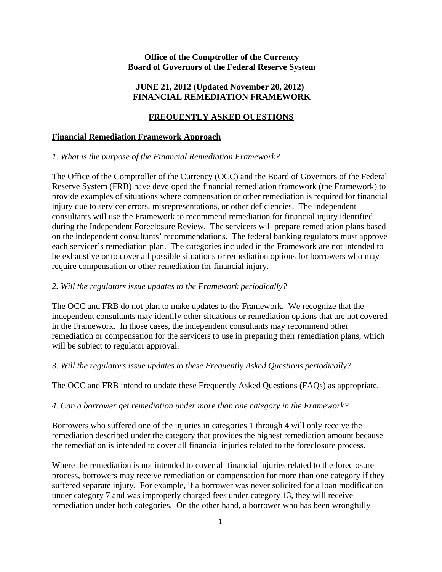#### **Office of the Comptroller of the Currency Board of Governors of the Federal Reserve System**

### **JUNE 21, 2012 (Updated November 20, 2012) FINANCIAL REMEDIATION FRAMEWORK**

## **FREQUENTLY ASKED QUESTIONS**

#### **Financial Remediation Framework Approach**

### *1. What is the purpose of the Financial Remediation Framework?*

The Office of the Comptroller of the Currency (OCC) and the Board of Governors of the Federal Reserve System (FRB) have developed the financial remediation framework (the Framework) to provide examples of situations where compensation or other remediation is required for financial injury due to servicer errors, misrepresentations, or other deficiencies. The independent consultants will use the Framework to recommend remediation for financial injury identified during the Independent Foreclosure Review. The servicers will prepare remediation plans based on the independent consultants' recommendations. The federal banking regulators must approve each servicer's remediation plan. The categories included in the Framework are not intended to be exhaustive or to cover all possible situations or remediation options for borrowers who may require compensation or other remediation for financial injury.

#### *2. Will the regulators issue updates to the Framework periodically?*

The OCC and FRB do not plan to make updates to the Framework. We recognize that the independent consultants may identify other situations or remediation options that are not covered in the Framework. In those cases, the independent consultants may recommend other remediation or compensation for the servicers to use in preparing their remediation plans, which will be subject to regulator approval.

#### *3. Will the regulators issue updates to these Frequently Asked Questions periodically?*

The OCC and FRB intend to update these Frequently Asked Questions (FAQs) as appropriate.

#### *4. Can a borrower get remediation under more than one category in the Framework?*

Borrowers who suffered one of the injuries in categories 1 through 4 will only receive the remediation described under the category that provides the highest remediation amount because the remediation is intended to cover all financial injuries related to the foreclosure process.

Where the remediation is not intended to cover all financial injuries related to the foreclosure process, borrowers may receive remediation or compensation for more than one category if they suffered separate injury. For example, if a borrower was never solicited for a loan modification under category 7 and was improperly charged fees under category 13, they will receive remediation under both categories. On the other hand, a borrower who has been wrongfully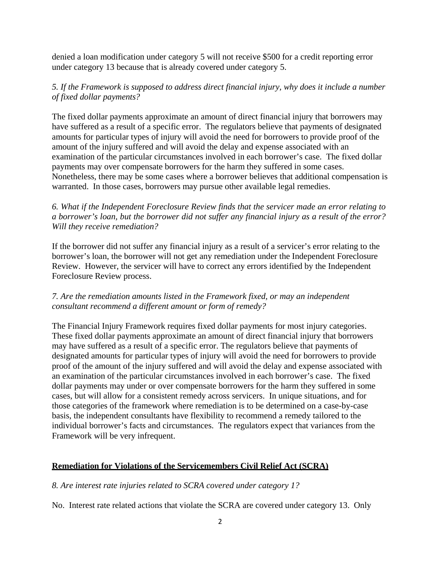denied a loan modification under category 5 will not receive \$500 for a credit reporting error under category 13 because that is already covered under category 5.

## *5. If the Framework is supposed to address direct financial injury, why does it include a number of fixed dollar payments?*

The fixed dollar payments approximate an amount of direct financial injury that borrowers may have suffered as a result of a specific error. The regulators believe that payments of designated amounts for particular types of injury will avoid the need for borrowers to provide proof of the amount of the injury suffered and will avoid the delay and expense associated with an examination of the particular circumstances involved in each borrower's case. The fixed dollar payments may over compensate borrowers for the harm they suffered in some cases. Nonetheless, there may be some cases where a borrower believes that additional compensation is warranted. In those cases, borrowers may pursue other available legal remedies.

## *6. What if the Independent Foreclosure Review finds that the servicer made an error relating to a borrower's loan, but the borrower did not suffer any financial injury as a result of the error? Will they receive remediation?*

If the borrower did not suffer any financial injury as a result of a servicer's error relating to the borrower's loan, the borrower will not get any remediation under the Independent Foreclosure Review. However, the servicer will have to correct any errors identified by the Independent Foreclosure Review process.

## *7. Are the remediation amounts listed in the Framework fixed, or may an independent consultant recommend a different amount or form of remedy?*

The Financial Injury Framework requires fixed dollar payments for most injury categories. These fixed dollar payments approximate an amount of direct financial injury that borrowers may have suffered as a result of a specific error. The regulators believe that payments of designated amounts for particular types of injury will avoid the need for borrowers to provide proof of the amount of the injury suffered and will avoid the delay and expense associated with an examination of the particular circumstances involved in each borrower's case. The fixed dollar payments may under or over compensate borrowers for the harm they suffered in some cases, but will allow for a consistent remedy across servicers. In unique situations, and for those categories of the framework where remediation is to be determined on a case-by-case basis, the independent consultants have flexibility to recommend a remedy tailored to the individual borrower's facts and circumstances. The regulators expect that variances from the Framework will be very infrequent.

### **Remediation for Violations of the Servicemembers Civil Relief Act (SCRA)**

### *8. Are interest rate injuries related to SCRA covered under category 1?*

No. Interest rate related actions that violate the SCRA are covered under category 13. Only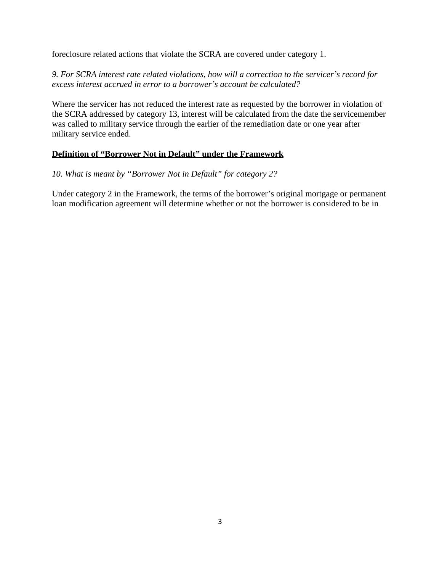foreclosure related actions that violate the SCRA are covered under category 1.

# *9. For SCRA interest rate related violations, how will a correction to the servicer's record for excess interest accrued in error to a borrower's account be calculated?*

Where the servicer has not reduced the interest rate as requested by the borrower in violation of the SCRA addressed by category 13, interest will be calculated from the date the servicemember was called to military service through the earlier of the remediation date or one year after military service ended.

## **Definition of "Borrower Not in Default" under the Framework**

## *10. What is meant by "Borrower Not in Default" for category 2?*

Under category 2 in the Framework, the terms of the borrower's original mortgage or permanent loan modification agreement will determine whether or not the borrower is considered to be in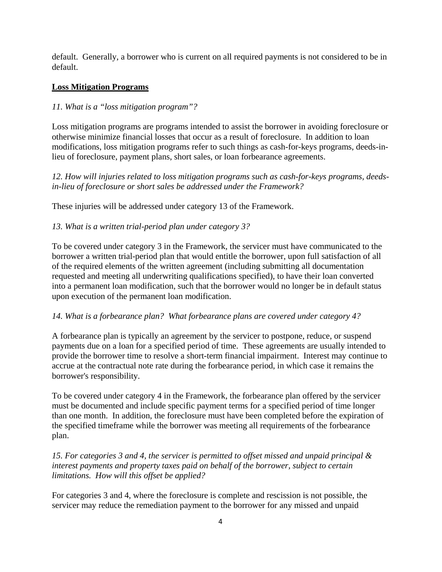default. Generally, a borrower who is current on all required payments is not considered to be in default.

## **Loss Mitigation Programs**

## *11. What is a "loss mitigation program"?*

Loss mitigation programs are programs intended to assist the borrower in avoiding foreclosure or otherwise minimize financial losses that occur as a result of foreclosure. In addition to loan modifications, loss mitigation programs refer to such things as cash-for-keys programs, deeds-inlieu of foreclosure, payment plans, short sales, or loan forbearance agreements.

*12. How will injuries related to loss mitigation programs such as cash-for-keys programs, deedsin-lieu of foreclosure or short sales be addressed under the Framework?*

These injuries will be addressed under category 13 of the Framework.

## *13. What is a written trial-period plan under category 3?*

To be covered under category 3 in the Framework, the servicer must have communicated to the borrower a written trial-period plan that would entitle the borrower, upon full satisfaction of all of the required elements of the written agreement (including submitting all documentation requested and meeting all underwriting qualifications specified), to have their loan converted into a permanent loan modification, such that the borrower would no longer be in default status upon execution of the permanent loan modification.

### *14. What is a forbearance plan? What forbearance plans are covered under category 4?*

A forbearance plan is typically an agreement by the servicer to postpone, reduce, or suspend payments due on a loan for a specified period of time. These agreements are usually intended to provide the borrower time to resolve a short-term financial impairment. Interest may continue to accrue at the contractual note rate during the forbearance period, in which case it remains the borrower's responsibility.

To be covered under category 4 in the Framework, the forbearance plan offered by the servicer must be documented and include specific payment terms for a specified period of time longer than one month. In addition, the foreclosure must have been completed before the expiration of the specified timeframe while the borrower was meeting all requirements of the forbearance plan.

*15. For categories 3 and 4, the servicer is permitted to offset missed and unpaid principal & interest payments and property taxes paid on behalf of the borrower, subject to certain limitations. How will this offset be applied?*

For categories 3 and 4, where the foreclosure is complete and rescission is not possible, the servicer may reduce the remediation payment to the borrower for any missed and unpaid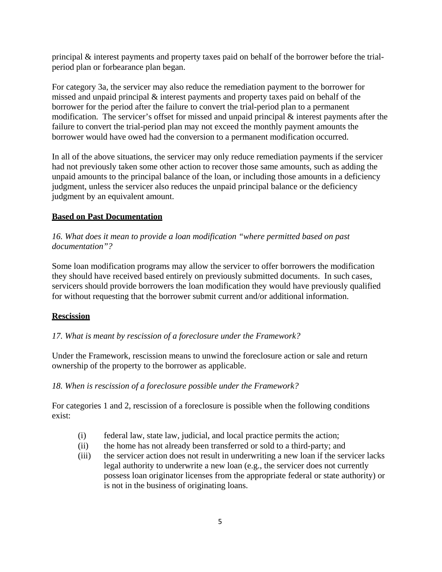principal & interest payments and property taxes paid on behalf of the borrower before the trialperiod plan or forbearance plan began.

For category 3a, the servicer may also reduce the remediation payment to the borrower for missed and unpaid principal & interest payments and property taxes paid on behalf of the borrower for the period after the failure to convert the trial-period plan to a permanent modification. The servicer's offset for missed and unpaid principal & interest payments after the failure to convert the trial-period plan may not exceed the monthly payment amounts the borrower would have owed had the conversion to a permanent modification occurred.

In all of the above situations, the servicer may only reduce remediation payments if the servicer had not previously taken some other action to recover those same amounts, such as adding the unpaid amounts to the principal balance of the loan, or including those amounts in a deficiency judgment, unless the servicer also reduces the unpaid principal balance or the deficiency judgment by an equivalent amount.

## **Based on Past Documentation**

*16. What does it mean to provide a loan modification "where permitted based on past documentation"?*

Some loan modification programs may allow the servicer to offer borrowers the modification they should have received based entirely on previously submitted documents. In such cases, servicers should provide borrowers the loan modification they would have previously qualified for without requesting that the borrower submit current and/or additional information.

### **Rescission**

### *17. What is meant by rescission of a foreclosure under the Framework?*

Under the Framework, rescission means to unwind the foreclosure action or sale and return ownership of the property to the borrower as applicable.

### *18. When is rescission of a foreclosure possible under the Framework?*

For categories 1 and 2, rescission of a foreclosure is possible when the following conditions exist:

- (i) federal law, state law, judicial, and local practice permits the action;
- (ii) the home has not already been transferred or sold to a third-party; and
- (iii) the servicer action does not result in underwriting a new loan if the servicer lacks legal authority to underwrite a new loan (e.g., the servicer does not currently possess loan originator licenses from the appropriate federal or state authority) or is not in the business of originating loans.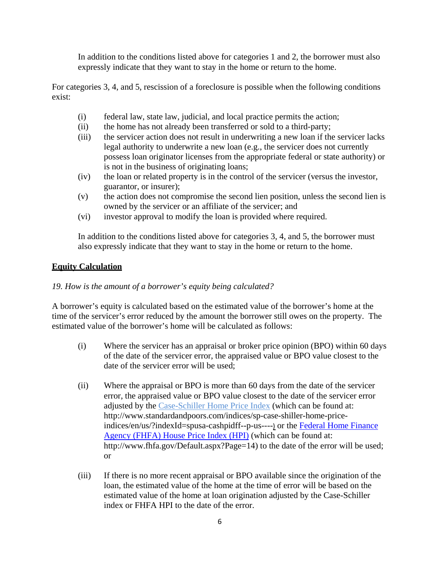In addition to the conditions listed above for categories 1 and 2, the borrower must also expressly indicate that they want to stay in the home or return to the home.

For categories 3, 4, and 5, rescission of a foreclosure is possible when the following conditions exist:

- (i) federal law, state law, judicial, and local practice permits the action;
- (ii) the home has not already been transferred or sold to a third-party;
- (iii) the servicer action does not result in underwriting a new loan if the servicer lacks legal authority to underwrite a new loan (e.g., the servicer does not currently possess loan originator licenses from the appropriate federal or state authority) or is not in the business of originating loans;
- (iv) the loan or related property is in the control of the servicer (versus the investor, guarantor, or insurer);
- (v) the action does not compromise the second lien position, unless the second lien is owned by the servicer or an affiliate of the servicer; and
- (vi) investor approval to modify the loan is provided where required.

In addition to the conditions listed above for categories 3, 4, and 5, the borrower must also expressly indicate that they want to stay in the home or return to the home.

## **Equity Calculation**

### *19. How is the amount of a borrower's equity being calculated?*

A borrower's equity is calculated based on the estimated value of the borrower's home at the time of the servicer's error reduced by the amount the borrower still owes on the property. The estimated value of the borrower's home will be calculated as follows:

- (i) Where the servicer has an appraisal or broker price opinion (BPO) within 60 days of the date of the servicer error, the appraised value or BPO value closest to the date of the servicer error will be used;
- (ii) Where the appraisal or BPO is more than 60 days from the date of the servicer error, the appraised value or BPO value closest to the date of the servicer error adjusted by the [Case-Schiller Home Price](http://www.standardandpoors.com/indices/sp-case-shiller-home-price-indices/en/us/?indexId=spusa-cashpidff--p-us----) Index (which can be found at[:](http://www.standardandpoors.com/indices/sp-case-shiller-home-price-) [http://www.standardandpoors.com/indices/sp-case-shiller-home-price](http://www.standardandpoors.com/indices/sp-case-shiller-home-price-)indices/en/us/?indexId=spusa-cashpidff--p-us----) or the [Federal Home Finance](http://www.fhfa.gov/Default.aspx?Page=14) [Agency \(FHFA\) House Price Index](http://www.fhfa.gov/Default.aspx?Page=14) (HPI) (which can be found at[:](http://www.fhfa.gov/Default.aspx?Page=14)) [http://www.fhfa.gov/Default.aspx?Page=14\)](http://www.fhfa.gov/Default.aspx?Page=14)) to the date of the error will be used; or
- (iii) If there is no more recent appraisal or BPO available since the origination of the loan, the estimated value of the home at the time of error will be based on the estimated value of the home at loan origination adjusted by the Case-Schiller index or FHFA HPI to the date of the error.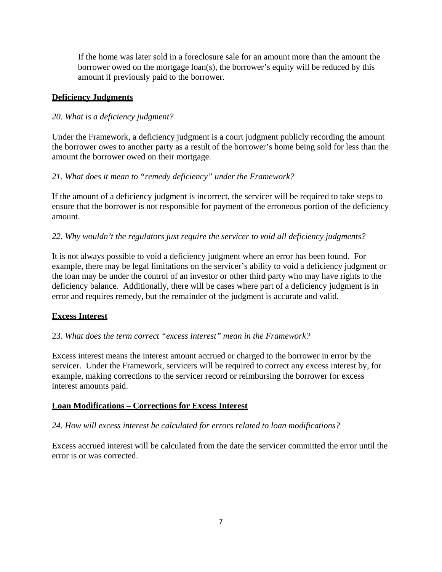If the home was later sold in a foreclosure sale for an amount more than the amount the borrower owed on the mortgage loan(s), the borrower's equity will be reduced by this amount if previously paid to the borrower.

# **Deficiency Judgments**

## *20. What is a deficiency judgment?*

Under the Framework, a deficiency judgment is a court judgment publicly recording the amount the borrower owes to another party as a result of the borrower's home being sold for less than the amount the borrower owed on their mortgage.

## *21. What does it mean to "remedy deficiency" under the Framework?*

If the amount of a deficiency judgment is incorrect, the servicer will be required to take steps to ensure that the borrower is not responsible for payment of the erroneous portion of the deficiency amount.

## *22. Why wouldn't the regulators just require the servicer to void all deficiency judgments?*

It is not always possible to void a deficiency judgment where an error has been found. For example, there may be legal limitations on the servicer's ability to void a deficiency judgment or the loan may be under the control of an investor or other third party who may have rights to the deficiency balance. Additionally, there will be cases where part of a deficiency judgment is in error and requires remedy, but the remainder of the judgment is accurate and valid.

### **Excess Interest**

### 23. *What does the term correct "excess interest" mean in the Framework?*

Excess interest means the interest amount accrued or charged to the borrower in error by the servicer. Under the Framework, servicers will be required to correct any excess interest by, for example, making corrections to the servicer record or reimbursing the borrower for excess interest amounts paid.

### **Loan Modifications – Corrections for Excess Interest**

### *24. How will excess interest be calculated for errors related to loan modifications?*

Excess accrued interest will be calculated from the date the servicer committed the error until the error is or was corrected.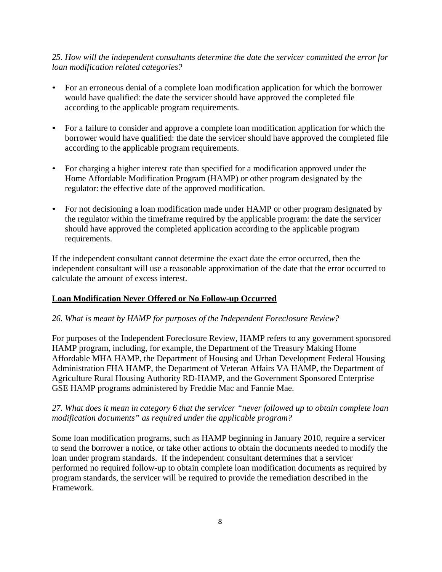## *25. How will the independent consultants determine the date the servicer committed the error for loan modification related categories?*

- For an erroneous denial of a complete loan modification application for which the borrower would have qualified: the date the servicer should have approved the completed file according to the applicable program requirements.
- For a failure to consider and approve a complete loan modification application for which the borrower would have qualified: the date the servicer should have approved the completed file according to the applicable program requirements.
- For charging a higher interest rate than specified for a modification approved under the Home Affordable Modification Program (HAMP) or other program designated by the regulator: the effective date of the approved modification.
- For not decisioning a loan modification made under HAMP or other program designated by the regulator within the timeframe required by the applicable program: the date the servicer should have approved the completed application according to the applicable program requirements.

If the independent consultant cannot determine the exact date the error occurred, then the independent consultant will use a reasonable approximation of the date that the error occurred to calculate the amount of excess interest.

# **Loan Modification Never Offered or No Follow-up Occurred**

### *26. What is meant by HAMP for purposes of the Independent Foreclosure Review?*

For purposes of the Independent Foreclosure Review, HAMP refers to any government sponsored HAMP program, including, for example, the Department of the Treasury Making Home Affordable MHA HAMP, the Department of Housing and Urban Development Federal Housing Administration FHA HAMP, the Department of Veteran Affairs VA HAMP, the Department of Agriculture Rural Housing Authority RD-HAMP, and the Government Sponsored Enterprise GSE HAMP programs administered by Freddie Mac and Fannie Mae.

## *27. What does it mean in category 6 that the servicer "never followed up to obtain complete loan modification documents" as required under the applicable program?*

Some loan modification programs, such as HAMP beginning in January 2010, require a servicer to send the borrower a notice, or take other actions to obtain the documents needed to modify the loan under program standards. If the independent consultant determines that a servicer performed no required follow-up to obtain complete loan modification documents as required by program standards, the servicer will be required to provide the remediation described in the Framework.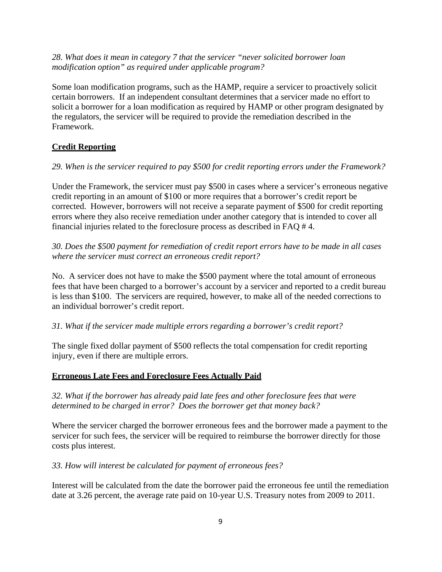## *28. What does it mean in category 7 that the servicer "never solicited borrower loan modification option" as required under applicable program?*

Some loan modification programs, such as the HAMP, require a servicer to proactively solicit certain borrowers. If an independent consultant determines that a servicer made no effort to solicit a borrower for a loan modification as required by HAMP or other program designated by the regulators, the servicer will be required to provide the remediation described in the Framework.

## **Credit Reporting**

#### *29. When is the servicer required to pay \$500 for credit reporting errors under the Framework?*

Under the Framework, the servicer must pay \$500 in cases where a servicer's erroneous negative credit reporting in an amount of \$100 or more requires that a borrower's credit report be corrected. However, borrowers will not receive a separate payment of \$500 for credit reporting errors where they also receive remediation under another category that is intended to cover all financial injuries related to the foreclosure process as described in FAQ # 4.

*30. Does the \$500 payment for remediation of credit report errors have to be made in all cases where the servicer must correct an erroneous credit report?*

No. A servicer does not have to make the \$500 payment where the total amount of erroneous fees that have been charged to a borrower's account by a servicer and reported to a credit bureau is less than \$100. The servicers are required, however, to make all of the needed corrections to an individual borrower's credit report.

### *31. What if the servicer made multiple errors regarding a borrower's credit report?*

The single fixed dollar payment of \$500 reflects the total compensation for credit reporting injury, even if there are multiple errors.

### **Erroneous Late Fees and Foreclosure Fees Actually Paid**

*32. What if the borrower has already paid late fees and other foreclosure fees that were determined to be charged in error? Does the borrower get that money back?*

Where the servicer charged the borrower erroneous fees and the borrower made a payment to the servicer for such fees, the servicer will be required to reimburse the borrower directly for those costs plus interest.

#### *33. How will interest be calculated for payment of erroneous fees?*

Interest will be calculated from the date the borrower paid the erroneous fee until the remediation date at 3.26 percent, the average rate paid on 10-year U.S. Treasury notes from 2009 to 2011.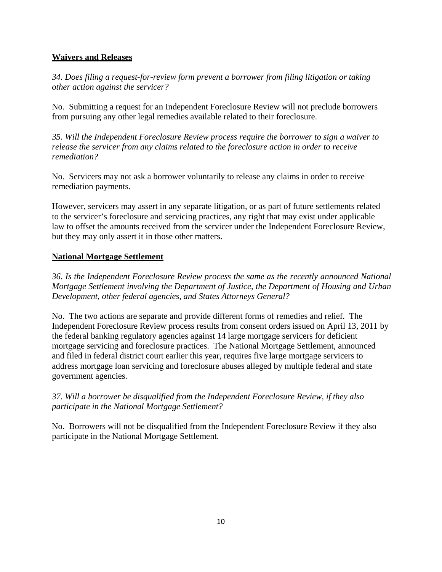## **Waivers and Releases**

*34. Does filing a request-for-review form prevent a borrower from filing litigation or taking other action against the servicer?*

No. Submitting a request for an Independent Foreclosure Review will not preclude borrowers from pursuing any other legal remedies available related to their foreclosure.

*35. Will the Independent Foreclosure Review process require the borrower to sign a waiver to release the servicer from any claims related to the foreclosure action in order to receive remediation?*

No. Servicers may not ask a borrower voluntarily to release any claims in order to receive remediation payments.

However, servicers may assert in any separate litigation, or as part of future settlements related to the servicer's foreclosure and servicing practices, any right that may exist under applicable law to offset the amounts received from the servicer under the Independent Foreclosure Review, but they may only assert it in those other matters.

## **National Mortgage Settlement**

*36. Is the Independent Foreclosure Review process the same as the recently announced National Mortgage Settlement involving the Department of Justice, the Department of Housing and Urban Development, other federal agencies, and States Attorneys General?*

No. The two actions are separate and provide different forms of remedies and relief. The Independent Foreclosure Review process results from consent orders issued on April 13, 2011 by the federal banking regulatory agencies against 14 large mortgage servicers for deficient mortgage servicing and foreclosure practices. The National Mortgage Settlement, announced and filed in federal district court earlier this year, requires five large mortgage servicers to address mortgage loan servicing and foreclosure abuses alleged by multiple federal and state government agencies.

# *37. Will a borrower be disqualified from the Independent Foreclosure Review, if they also participate in the National Mortgage Settlement?*

No. Borrowers will not be disqualified from the Independent Foreclosure Review if they also participate in the National Mortgage Settlement.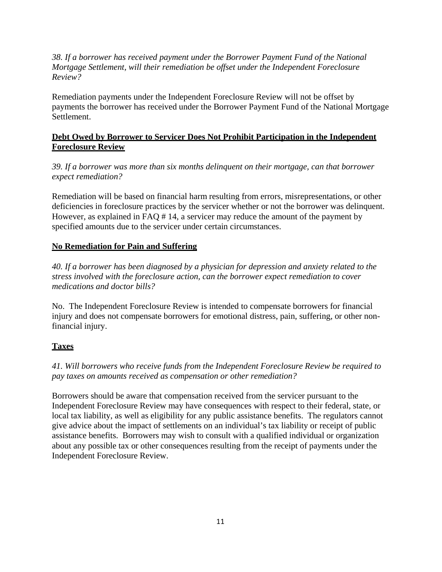*38. If a borrower has received payment under the Borrower Payment Fund of the National Mortgage Settlement, will their remediation be offset under the Independent Foreclosure Review?*

Remediation payments under the Independent Foreclosure Review will not be offset by payments the borrower has received under the Borrower Payment Fund of the National Mortgage Settlement.

# **Debt Owed by Borrower to Servicer Does Not Prohibit Participation in the Independent Foreclosure Review**

*39. If a borrower was more than six months delinquent on their mortgage, can that borrower expect remediation?*

Remediation will be based on financial harm resulting from errors, misrepresentations, or other deficiencies in foreclosure practices by the servicer whether or not the borrower was delinquent. However, as explained in FAQ # 14, a servicer may reduce the amount of the payment by specified amounts due to the servicer under certain circumstances.

# **No Remediation for Pain and Suffering**

*40. If a borrower has been diagnosed by a physician for depression and anxiety related to the stress involved with the foreclosure action, can the borrower expect remediation to cover medications and doctor bills?*

No. The Independent Foreclosure Review is intended to compensate borrowers for financial injury and does not compensate borrowers for emotional distress, pain, suffering, or other nonfinancial injury.

# **Taxes**

*41. Will borrowers who receive funds from the Independent Foreclosure Review be required to pay taxes on amounts received as compensation or other remediation?*

Borrowers should be aware that compensation received from the servicer pursuant to the Independent Foreclosure Review may have consequences with respect to their federal, state, or local tax liability, as well as eligibility for any public assistance benefits. The regulators cannot give advice about the impact of settlements on an individual's tax liability or receipt of public assistance benefits. Borrowers may wish to consult with a qualified individual or organization about any possible tax or other consequences resulting from the receipt of payments under the Independent Foreclosure Review.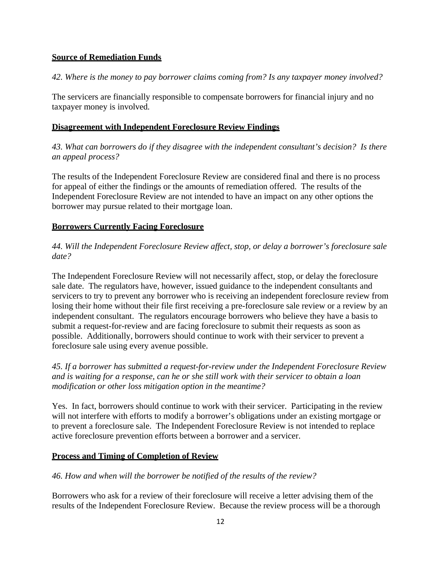## **Source of Remediation Funds**

*42. Where is the money to pay borrower claims coming from? Is any taxpayer money involved?*

The servicers are financially responsible to compensate borrowers for financial injury and no taxpayer money is involved*.*

### **Disagreement with Independent Foreclosure Review Findings**

*43. What can borrowers do if they disagree with the independent consultant's decision? Is there an appeal process?*

The results of the Independent Foreclosure Review are considered final and there is no process for appeal of either the findings or the amounts of remediation offered. The results of the Independent Foreclosure Review are not intended to have an impact on any other options the borrower may pursue related to their mortgage loan.

### **Borrowers Currently Facing Foreclosure**

## *44. Will the Independent Foreclosure Review affect, stop, or delay a borrower's foreclosure sale date?*

The Independent Foreclosure Review will not necessarily affect, stop, or delay the foreclosure sale date. The regulators have, however, issued guidance to the independent consultants and servicers to try to prevent any borrower who is receiving an independent foreclosure review from losing their home without their file first receiving a pre-foreclosure sale review or a review by an independent consultant. The regulators encourage borrowers who believe they have a basis to submit a request-for-review and are facing foreclosure to submit their requests as soon as possible. Additionally, borrowers should continue to work with their servicer to prevent a foreclosure sale using every avenue possible.

*45. If a borrower has submitted a request-for-review under the Independent Foreclosure Review and is waiting for a response, can he or she still work with their servicer to obtain a loan modification or other loss mitigation option in the meantime?*

Yes. In fact, borrowers should continue to work with their servicer. Participating in the review will not interfere with efforts to modify a borrower's obligations under an existing mortgage or to prevent a foreclosure sale. The Independent Foreclosure Review is not intended to replace active foreclosure prevention efforts between a borrower and a servicer.

#### **Process and Timing of Completion of Review**

#### *46. How and when will the borrower be notified of the results of the review?*

Borrowers who ask for a review of their foreclosure will receive a letter advising them of the results of the Independent Foreclosure Review. Because the review process will be a thorough